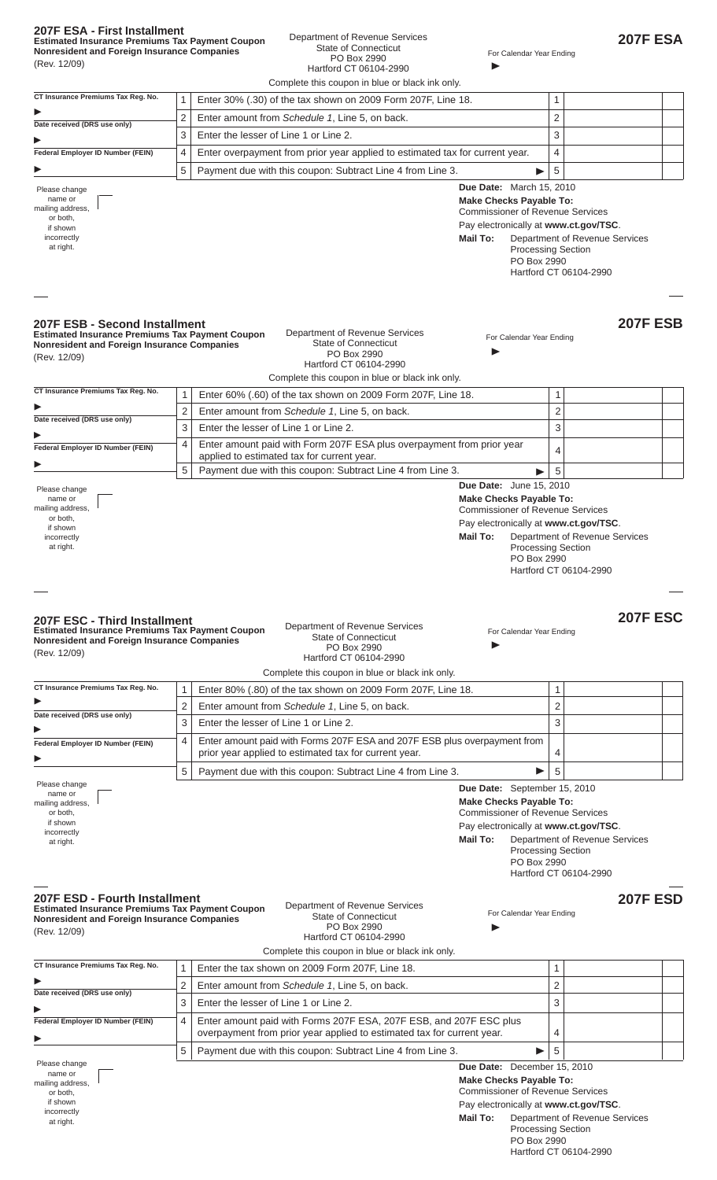|  | 207F ESA - First Installment                           |  |  |
|--|--------------------------------------------------------|--|--|
|  | <b>Estimated Insurance Premiums Tax Payment Coupon</b> |  |  |

 $\blacksquare$ 

 $\blacktriangleright$ 

 $\blacktriangleright$ 

 $\blacktriangleright$ 

 $\blacktriangleright$ 

 $\blacktriangleright$ 

 $\blacktriangleright$ 

 $\blacktriangleright$ 

 $\blacktriangleright$ 

 $\blacktriangleright$ 

 $\blacktriangleright$ 

incorrectly at right.

**Nonresident and Foreign Insurance Companies** (Rev. 12/09)

### Department of Revenue Services State of Connecticut PO Box 2990 Hartford CT 06104-2990

**Due Date:** March 15, 2010 **Make Checks Payable To:**  Commissioner of Revenue Services Pay electronically at **www.ct.gov/TSC**. **Mail To:** Department of Revenue Services Processing Section PO Box 2990 Hartford CT 06104-2990 **207F ESA** For Calendar Year Ending  $\overline{\phantom{a}}$ Please change name or mailing address, or both, if shown incorrectly at right. **207F ESB - Second Installment Estimated Insurance Premiums Tax Payment Coupon Nonresident and Foreign Insurance Companies** (Rev. 12/09) Department of Revenue Services State of Connecticut PO Box 2990 Hartford CT 06104-2990 **207F ESB** For Calendar Year Ending  $\overline{\phantom{a}}$ Please change name or mailing address, or both, if shown incorrectly at right. **207F ESC - Third Installment Estimated Insurance Premiums Tax Payment Coupon Nonresident and Foreign Insurance Companies** (Rev. 12/09) Department of Revenue Services State of Connecticut PO Box 2990 Hartford CT 06104-2990 **207F ESC** For Calendar Year Ending  $\overline{\phantom{a}}$ Please change name or mailing address, or both, if shown incorrectly at right. **Due Date:** June 15, 2010 **Make Checks Payable To:**  Commissioner of Revenue Services Pay electronically at **www.ct.gov/TSC**. **Mail To:** Department of Revenue Services Processing Section PO Box 2990 Hartford CT 06104-2990 **Due Date:** September 15, 2010 **Make Checks Payable To:**  Commissioner of Revenue Services Pay electronically at **www.ct.gov/TSC**. **Mail To:** Department of Revenue Services Processing Section PO Box 2990 Hartford CT 06104-2990 1 Enter 80% (.80) of the tax shown on 2009 Form 207F, Line 18. 1 2 Enter amount from *Schedule 1*, Line 5, on back. 2 3 Enter the lesser of Line 1 or Line 2. 3 4 | Enter amount paid with Forms 207F ESA and 207F ESB plus overpayment from prior year applied to estimated tax for current year.  $\vert 4 \rangle$ 5 | Payment due with this coupon: Subtract Line 4 from Line 3.  $\begin{array}{c} \hline \end{array}$  5 **CT Insurance Premiums Tax Reg. No. Date received (DRS use only) Federal Employer ID Number (FEIN)**  $\blacktriangleright$ 1 Enter 60% (.60) of the tax shown on 2009 Form 207F, Line 18. 1 2 Enter amount from *Schedule 1*, Line 5, on back. 2 3 Enter the lesser of Line 1 or Line 2. 3 4 Enter amount paid with Form 207F ESA plus overpayment from prior year Enter amount paid with Form 207F ESA plus overpayment from prior year  $4 \times 4$ 5 Payment due with this coupon: Subtract Line 4 from Line 3. 5 **CT Insurance Premiums Tax Reg. No. Date received (DRS use only) Federal Employer ID Number (FEIN)**  $\blacktriangleright$ 1 | Enter 30% (.30) of the tax shown on 2009 Form 207F, Line 18. 2 Enter amount from *Schedule 1*, Line 5, on back. 2 3 Enter the lesser of Line 1 or Line 2.  $4 \mid$  Enter overpayment from prior year applied to estimated tax for current year.  $\mid$  4 ► S | Payment due with this coupon: Subtract Line 4 from Line 3. ■ 5 | 5 **CT Insurance Premiums Tax Reg. No. Date received (DRS use only) Federal Employer ID Number (FEIN)** Complete this coupon in blue or black ink only. Complete this coupon in blue or black ink only. Complete this coupon in blue or black ink only. Please change name or mailing address, or both, if shown **Due Date:** December 15, 2010 **Make Checks Payable To:**  Commissioner of Revenue Services **207F ESD - Fourth Installment Estimated Insurance Premiums Tax Payment Coupon Nonresident and Foreign Insurance Companies** (Rev. 12/09) Department of Revenue Services State of Connecticut PO Box 2990 Hartford CT 06104-2990 **207F ESD** For Calendar Year Ending  $\overline{\phantom{a}}$ **CT Insurance Premiums Tax Reg. No. Date received (DRS use only) Federal Employer ID Number (FEIN)** 1 Enter the tax shown on 2009 Form 207F, Line 18. 2 Enter amount from *Schedule 1*, Line 5, on back. 2 3 Enter the lesser of Line 1 or Line 2. 3 4 | Enter amount paid with Forms 207F ESA, 207F ESB, and 207F ESC plus overpayment from prior year applied to estimated tax for current year.  $|4$ 5 | Payment due with this coupon: Subtract Line 4 from Line 3.  $\begin{array}{c} \hline \end{array}$  5 Complete this coupon in blue or black ink only.

Pay electronically at **www.ct.gov/TSC**. **Mail To:** Department of Revenue Services Processing Section PO Box 2990 Hartford CT 06104-2990